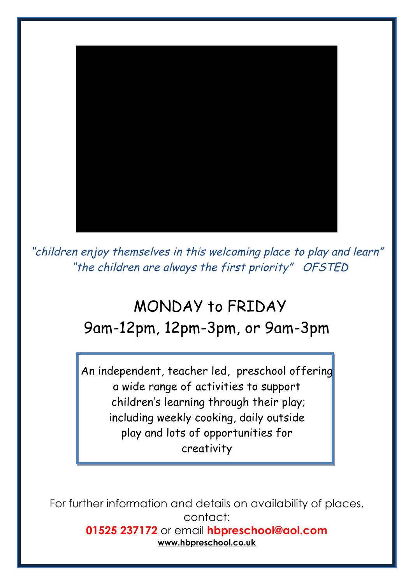

"children enjoy themselves in this welcoming place to play and learn" "the children are always the first priority" OFSTED

# MONDAY to FRIDAY 9am-12pm, 12pm-3pm, or 9am-3pm

An independent, teacher led, preschool offering a wide range of activities to support children's learning through their play; including weekly cooking, daily outside play and lots of opportunities for creativity

For further information and details on availability of places, contact: **01525 237172** or email **hbpreschool@aol.com www.hbpreschool.co.uk**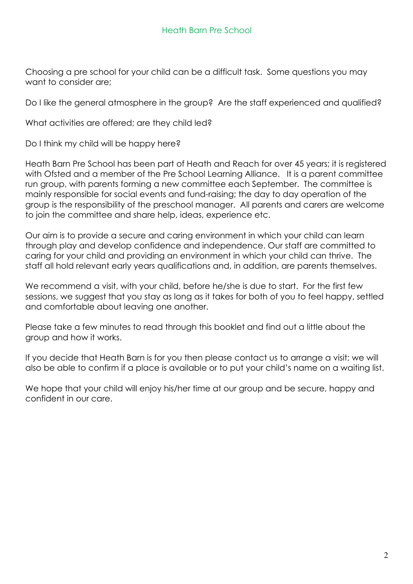Choosing a pre school for your child can be a difficult task. Some questions you may want to consider are;

Do I like the general atmosphere in the group? Are the staff experienced and qualified?

What activities are offered; are they child led?

Do I think my child will be happy here?

Heath Barn Pre School has been part of Heath and Reach for over 45 years; it is registered with Ofsted and a member of the Pre School Learning Alliance. It is a parent committee run group, with parents forming a new committee each September. The committee is mainly responsible for social events and fund-raising; the day to day operation of the group is the responsibility of the preschool manager. All parents and carers are welcome to join the committee and share help, ideas, experience etc.

Our aim is to provide a secure and caring environment in which your child can learn through play and develop confidence and independence. Our staff are committed to caring for your child and providing an environment in which your child can thrive. The staff all hold relevant early years qualifications and, in addition, are parents themselves.

We recommend a visit, with your child, before he/she is due to start. For the first few sessions, we suggest that you stay as long as it takes for both of you to feel happy, settled and comfortable about leaving one another.

Please take a few minutes to read through this booklet and find out a little about the group and how it works.

If you decide that Heath Barn is for you then please contact us to arrange a visit; we will also be able to confirm if a place is available or to put your child's name on a waiting list.

We hope that your child will enjoy his/her time at our group and be secure, happy and confident in our care.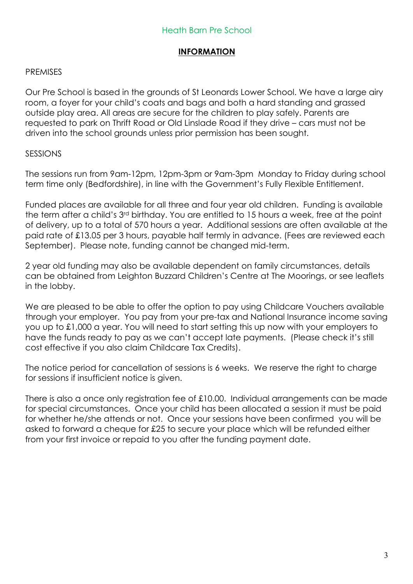# **INFORMATION**

#### PREMISES

Our Pre School is based in the grounds of St Leonards Lower School. We have a large airy room, a foyer for your child's coats and bags and both a hard standing and grassed outside play area. All areas are secure for the children to play safely. Parents are requested to park on Thrift Road or Old Linslade Road if they drive – cars must not be driven into the school grounds unless prior permission has been sought.

#### SESSIONS

The sessions run from 9am-12pm, 12pm-3pm or 9am-3pm Monday to Friday during school term time only (Bedfordshire), in line with the Government's Fully Flexible Entitlement.

Funded places are available for all three and four year old children. Funding is available the term after a child's 3rd birthday. You are entitled to 15 hours a week, free at the point of delivery, up to a total of 570 hours a year. Additional sessions are often available at the paid rate of £13.05 per 3 hours, payable half termly in advance. (Fees are reviewed each September). Please note, funding cannot be changed mid-term.

2 year old funding may also be available dependent on family circumstances, details can be obtained from Leighton Buzzard Children's Centre at The Moorings, or see leaflets in the lobby.

We are pleased to be able to offer the option to pay using Childcare Vouchers available through your employer. You pay from your pre-tax and National Insurance income saving you up to £1,000 a year. You will need to start setting this up now with your employers to have the funds ready to pay as we can't accept late payments. (Please check it's still cost effective if you also claim Childcare Tax Credits).

The notice period for cancellation of sessions is 6 weeks. We reserve the right to charge for sessions if insufficient notice is given.

There is also a once only registration fee of £10.00. Individual arrangements can be made for special circumstances. Once your child has been allocated a session it must be paid for whether he/she attends or not. Once your sessions have been confirmed you will be asked to forward a cheque for £25 to secure your place which will be refunded either from your first invoice or repaid to you after the funding payment date.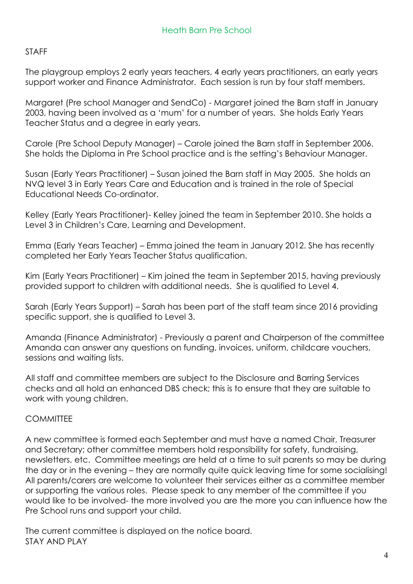## STAFF

The playgroup employs 2 early years teachers, 4 early years practitioners, an early years support worker and Finance Administrator. Each session is run by four staff members.

Margaret (Pre school Manager and SendCo) - Margaret joined the Barn staff in January 2003, having been involved as a 'mum' for a number of years. She holds Early Years Teacher Status and a degree in early years.

Carole (Pre School Deputy Manager) – Carole joined the Barn staff in September 2006. She holds the Diploma in Pre School practice and is the setting's Behaviour Manager.

Susan (Early Years Practitioner) – Susan joined the Barn staff in May 2005. She holds an NVQ level 3 in Early Years Care and Education and is trained in the role of Special Educational Needs Co-ordinator.

Kelley (Early Years Practitioner)- Kelley joined the team in September 2010. She holds a Level 3 in Children's Care, Learning and Development.

Emma (Early Years Teacher) – Emma joined the team in January 2012. She has recently completed her Early Years Teacher Status qualification.

Kim (Early Years Practitioner) – Kim joined the team in September 2015, having previously provided support to children with additional needs. She is qualified to Level 4.

Sarah (Early Years Support) – Sarah has been part of the staff team since 2016 providing specific support, she is qualified to Level 3.

Amanda (Finance Administrator) - Previously a parent and Chairperson of the committee Amanda can answer any questions on funding, invoices, uniform, childcare vouchers, sessions and waiting lists.

All staff and committee members are subject to the Disclosure and Barring Services checks and all hold an enhanced DBS check; this is to ensure that they are suitable to work with young children.

## **COMMITTEE**

A new committee is formed each September and must have a named Chair, Treasurer and Secretary; other committee members hold responsibility for safety, fundraising, newsletters, etc. Committee meetings are held at a time to suit parents so may be during the day or in the evening – they are normally quite quick leaving time for some socialising! All parents/carers are welcome to volunteer their services either as a committee member or supporting the various roles. Please speak to any member of the committee if you would like to be involved- the more involved you are the more you can influence how the Pre School runs and support your child.

The current committee is displayed on the notice board. STAY AND PLAY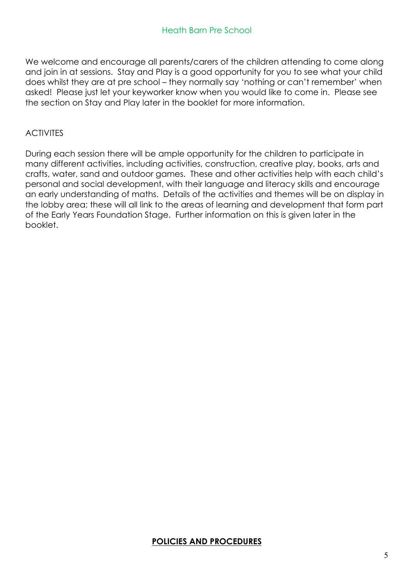We welcome and encourage all parents/carers of the children attending to come along and join in at sessions. Stay and Play is a good opportunity for you to see what your child does whilst they are at pre school – they normally say 'nothing or can't remember' when asked! Please just let your keyworker know when you would like to come in. Please see the section on Stay and Play later in the booklet for more information.

#### ACTIVITES

During each session there will be ample opportunity for the children to participate in many different activities, including activities, construction, creative play, books, arts and crafts, water, sand and outdoor games. These and other activities help with each child's personal and social development, with their language and literacy skills and encourage an early understanding of maths. Details of the activities and themes will be on display in the lobby area; these will all link to the areas of learning and development that form part of the Early Years Foundation Stage. Further information on this is given later in the booklet.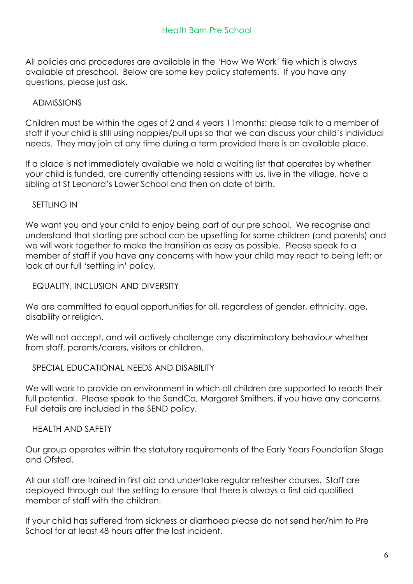All policies and procedures are available in the 'How We Work' file which is always available at preschool. Below are some key policy statements. If you have any questions, please just ask.

## ADMISSIONS

Children must be within the ages of 2 and 4 years 11months; please talk to a member of staff if your child is still using nappies/pull ups so that we can discuss your child's individual needs. They may join at any time during a term provided there is an available place.

If a place is not immediately available we hold a waiting list that operates by whether your child is funded, are currently attending sessions with us, live in the village, have a sibling at St Leonard's Lower School and then on date of birth.

## SETTLING IN

We want you and your child to enjoy being part of our pre school. We recognise and understand that starting pre school can be upsetting for some children (and parents) and we will work together to make the transition as easy as possible. Please speak to a member of staff if you have any concerns with how your child may react to being left; or look at our full 'settling in' policy.

EQUALITY, INCLUSION AND DIVERSITY

We are committed to equal opportunities for all, regardless of gender, ethnicity, age, disability or religion.

We will not accept, and will actively challenge any discriminatory behaviour whether from staff, parents/carers, visitors or children.

## SPECIAL EDUCATIONAL NEEDS AND DISABILITY

We will work to provide an environment in which all children are supported to reach their full potential. Please speak to the SendCo, Margaret Smithers, if you have any concerns. Full details are included in the SEND policy.

## HEALTH AND SAFETY

Our group operates within the statutory requirements of the Early Years Foundation Stage and Ofsted.

All our staff are trained in first aid and undertake regular refresher courses. Staff are deployed through out the setting to ensure that there is always a first aid qualified member of staff with the children.

If your child has suffered from sickness or diarrhoea please do not send her/him to Pre School for at least 48 hours after the last incident.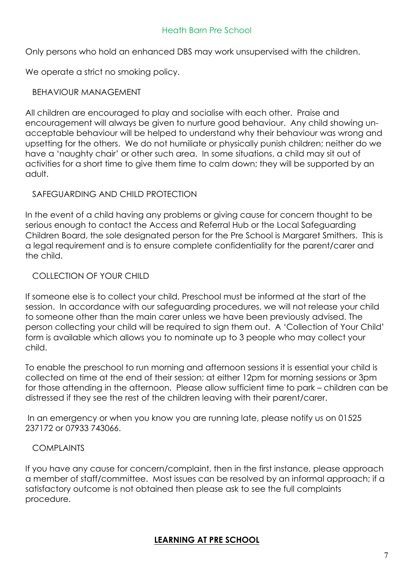## Heath Barn Pre School

Only persons who hold an enhanced DBS may work unsupervised with the children.

We operate a strict no smoking policy.

#### BEHAVIOUR MANAGEMENT

All children are encouraged to play and socialise with each other. Praise and encouragement will always be given to nurture good behaviour. Any child showing unacceptable behaviour will be helped to understand why their behaviour was wrong and upsetting for the others. We do not humiliate or physically punish children; neither do we have a 'naughty chair' or other such area. In some situations, a child may sit out of activities for a short time to give them time to calm down; they will be supported by an adult.

#### SAFEGUARDING AND CHILD PROTECTION

In the event of a child having any problems or giving cause for concern thought to be serious enough to contact the Access and Referral Hub or the Local Safeguarding Children Board, the sole designated person for the Pre School is Margaret Smithers. This is a legal requirement and is to ensure complete confidentiality for the parent/carer and the child.

## COLLECTION OF YOUR CHILD

If someone else is to collect your child, Preschool must be informed at the start of the session. In accordance with our safeguarding procedures, we will not release your child to someone other than the main carer unless we have been previously advised. The person collecting your child will be required to sign them out. A 'Collection of Your Child' form is available which allows you to nominate up to 3 people who may collect your child.

To enable the preschool to run morning and afternoon sessions it is essential your child is collected on time at the end of their session; at either 12pm for morning sessions or 3pm for those attending in the afternoon. Please allow sufficient time to park – children can be distressed if they see the rest of the children leaving with their parent/carer.

In an emergency or when you know you are running late, please notify us on 01525 237172 or 07933 743066.

## COMPLAINTS

If you have any cause for concern/complaint, then in the first instance, please approach a member of staff/committee. Most issues can be resolved by an informal approach; if a satisfactory outcome is not obtained then please ask to see the full complaints procedure.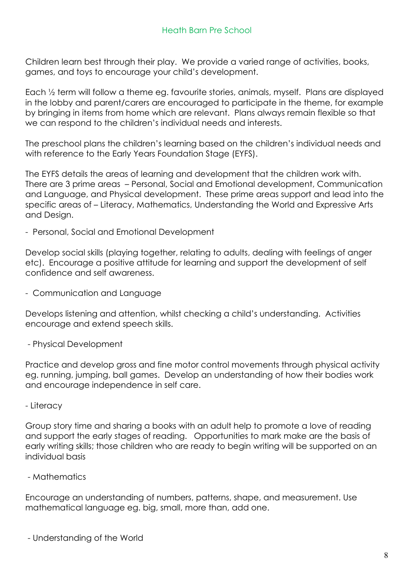Children learn best through their play. We provide a varied range of activities, books, games, and toys to encourage your child's development.

Each ½ term will follow a theme eg. favourite stories, animals, myself. Plans are displayed in the lobby and parent/carers are encouraged to participate in the theme, for example by bringing in items from home which are relevant. Plans always remain flexible so that we can respond to the children's individual needs and interests.

The preschool plans the children's learning based on the children's individual needs and with reference to the Early Years Foundation Stage (EYFS).

The EYFS details the areas of learning and development that the children work with. There are 3 prime areas – Personal, Social and Emotional development, Communication and Language, and Physical development. These prime areas support and lead into the specific areas of – Literacy, Mathematics, Understanding the World and Expressive Arts and Design.

- Personal, Social and Emotional Development

Develop social skills (playing together, relating to adults, dealing with feelings of anger etc). Encourage a positive attitude for learning and support the development of self confidence and self awareness.

- Communication and Language

Develops listening and attention, whilst checking a child's understanding. Activities encourage and extend speech skills.

- Physical Development

Practice and develop gross and fine motor control movements through physical activity eg. running, jumping, ball games. Develop an understanding of how their bodies work and encourage independence in self care.

- Literacy

Group story time and sharing a books with an adult help to promote a love of reading and support the early stages of reading. Opportunities to mark make are the basis of early writing skills; those children who are ready to begin writing will be supported on an individual basis

- Mathematics

Encourage an understanding of numbers, patterns, shape, and measurement. Use mathematical language eg. big, small, more than, add one.

- Understanding of the World